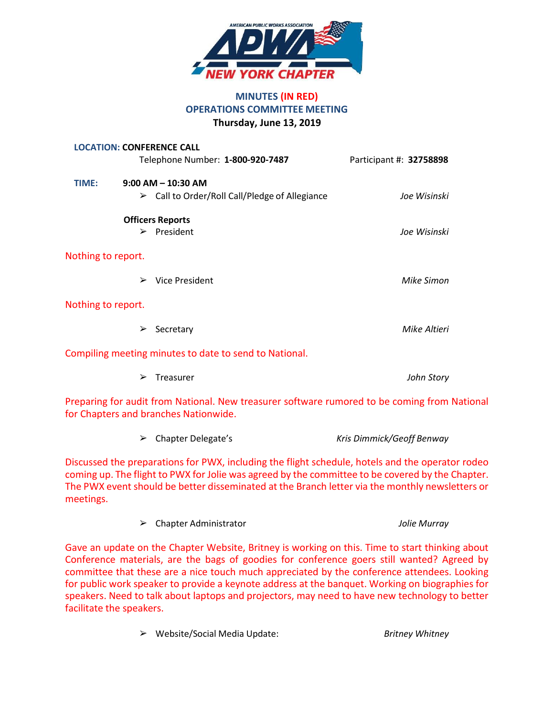

# **MINUTES (IN RED) OPERATIONS COMMITTEE MEETING Thursday, June 13, 2019**

|                    | <b>LOCATION: CONFERENCE CALL</b>                                                                                                      |                         |
|--------------------|---------------------------------------------------------------------------------------------------------------------------------------|-------------------------|
|                    | Telephone Number: 1-800-920-7487                                                                                                      | Participant #: 32758898 |
| TIME:              | $9:00$ AM $-$ 10:30 AM                                                                                                                |                         |
|                    | $\triangleright$ Call to Order/Roll Call/Pledge of Allegiance                                                                         | Joe Wisinski            |
|                    | <b>Officers Reports</b>                                                                                                               |                         |
|                    | $\triangleright$ President                                                                                                            | Joe Wisinski            |
| Nothing to report. |                                                                                                                                       |                         |
|                    | <b>Vice President</b><br>➤                                                                                                            | Mike Simon              |
| Nothing to report. |                                                                                                                                       |                         |
|                    | Secretary<br>➤                                                                                                                        | Mike Altieri            |
|                    | Compiling meeting minutes to date to send to National.                                                                                |                         |
|                    | Treasurer<br>➤                                                                                                                        | John Story              |
|                    | Preparing for audit from National. New treasurer software rumored to be coming from National<br>for Chapters and branches Nationwide. |                         |

➢ Chapter Delegate's *Kris Dimmick/Geoff Benway*

Discussed the preparations for PWX, including the flight schedule, hotels and the operator rodeo coming up. The flight to PWX for Jolie was agreed by the committee to be covered by the Chapter. The PWX event should be better disseminated at the Branch letter via the monthly newsletters or meetings.

| $\triangleright$ Chapter Administrator | Jolie Murray |
|----------------------------------------|--------------|
|                                        |              |

Gave an update on the Chapter Website, Britney is working on this. Time to start thinking about Conference materials, are the bags of goodies for conference goers still wanted? Agreed by committee that these are a nice touch much appreciated by the conference attendees. Looking for public work speaker to provide a keynote address at the banquet. Working on biographies for speakers. Need to talk about laptops and projectors, may need to have new technology to better facilitate the speakers.

➢ Website/Social Media Update: *Britney Whitney*